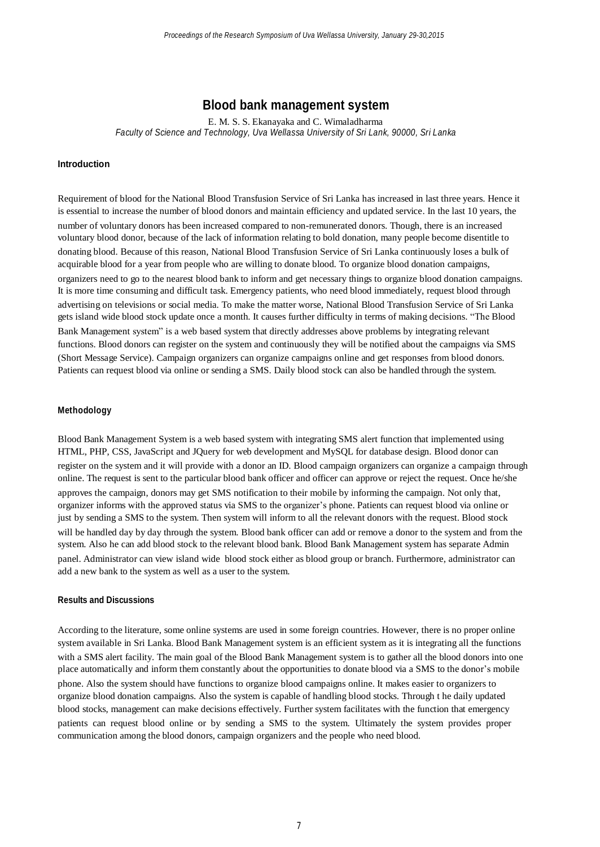# **Blood bank management system**

E. M. S. S. Ekanayaka and C. Wimaladharma *Faculty of Science and Technology, Uva Wellassa University of Sri Lank, 90000, Sri Lanka*

### **Introduction**

Requirement of blood for the National Blood Transfusion Service of Sri Lanka has increased in last three years. Hence it is essential to increase the number of blood donors and maintain efficiency and updated service. In the last 10 years, the number of voluntary donors has been increased compared to non-remunerated donors. Though, there is an increased voluntary blood donor, because of the lack of information relating to bold donation, many people become disentitle to donating blood. Because of this reason, National Blood Transfusion Service of Sri Lanka continuously loses a bulk of acquirable blood for a year from people who are willing to donate blood. To organize blood donation campaigns, organizers need to go to the nearest blood bank to inform and get necessary things to organize blood donation campaigns. It is more time consuming and difficult task. Emergency patients, who need blood immediately, request blood through advertising on televisions or social media. To make the matter worse, National Blood Transfusion Service of Sri Lanka gets island wide blood stock update once a month. It causes further difficulty in terms of making decisions. "The Blood Bank Management system" is a web based system that directly addresses above problems by integrating relevant functions. Blood donors can register on the system and continuously they will be notified about the campaigns via SMS (Short Message Service). Campaign organizers can organize campaigns online and get responses from blood donors. Patients can request blood via online or sending a SMS. Daily blood stock can also be handled through the system.

#### **Methodology**

Blood Bank Management System is a web based system with integrating SMS alert function that implemented using HTML, PHP, CSS, JavaScript and JQuery for web development and MySQL for database design. Blood donor can register on the system and it will provide with a donor an ID. Blood campaign organizers can organize a campaign through online. The request is sent to the particular blood bank officer and officer can approve or reject the request. Once he/she approves the campaign, donors may get SMS notification to their mobile by informing the campaign. Not only that, organizer informs with the approved status via SMS to the organizer's phone. Patients can request blood via online or just by sending a SMS to the system. Then system will inform to all the relevant donors with the request. Blood stock will be handled day by day through the system. Blood bank officer can add or remove a donor to the system and from the system. Also he can add blood stock to the relevant blood bank. Blood Bank Management system has separate Admin panel. Administrator can view island wide blood stock either as blood group or branch. Furthermore, administrator can add a new bank to the system as well as a user to the system.

# **Results and Discussions**

According to the literature, some online systems are used in some foreign countries. However, there is no proper online system available in Sri Lanka. Blood Bank Management system is an efficient system as it is integrating all the functions with a SMS alert facility. The main goal of the Blood Bank Management system is to gather all the blood donors into one place automatically and inform them constantly about the opportunities to donate blood via a SMS to the donor's mobile phone. Also the system should have functions to organize blood campaigns online. It makes easier to organizers to organize blood donation campaigns. Also the system is capable of handling blood stocks. Through t he daily updated blood stocks, management can make decisions effectively. Further system facilitates with the function that emergency patients can request blood online or by sending a SMS to the system. Ultimately the system provides proper communication among the blood donors, campaign organizers and the people who need blood.